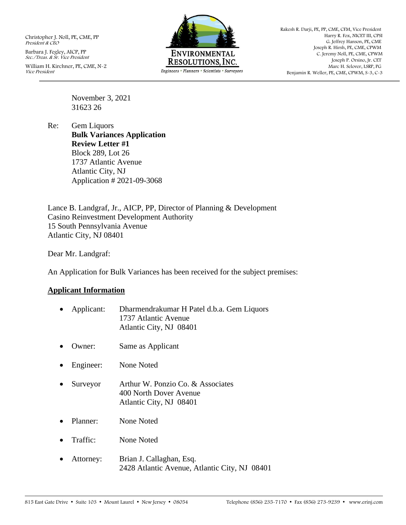Christopher J. Noll, PE, CME, PP President & CEO

Barbara J. Fegley, AICP, PP Sec./Treas. & Sr. Vice President William H. Kirchner, PE, CME, N-2 Vice President



Rakesh R. Darji, PE, PP, CME, CFM, Vice President Harry R. Fox, NICET III, CPSI G. Jeffrey Hanson, PE, CME Joseph R. Hirsh, PE, CME, CPWM C. Jeremy Noll, PE, CME, CPWM Joseph P. Orsino, Jr. CET Marc H. Selover, LSRP, PG Benjamin R. Weller, PE, CME, CPWM, S-3, C-3

November 3, 2021 31623 26

Re: Gem Liquors **Bulk Variances Application Review Letter #1** Block 289, Lot 26 1737 Atlantic Avenue Atlantic City, NJ Application # 2021-09-3068

Lance B. Landgraf, Jr., AICP, PP, Director of Planning & Development Casino Reinvestment Development Authority 15 South Pennsylvania Avenue Atlantic City, NJ 08401

Dear Mr. Landgraf:

An Application for Bulk Variances has been received for the subject premises:

### **Applicant Information**

| $\bullet$ | Applicant: | Dharmendrakumar H Patel d.b.a. Gem Liquors<br>1737 Atlantic Avenue<br>Atlantic City, NJ 08401 |
|-----------|------------|-----------------------------------------------------------------------------------------------|
|           | Owner:     | Same as Applicant                                                                             |
| $\bullet$ | Engineer:  | None Noted                                                                                    |
| $\bullet$ | Surveyor   | Arthur W. Ponzio Co. & Associates<br>400 North Dover Avenue<br>Atlantic City, NJ 08401        |
|           | Planner:   | None Noted                                                                                    |
|           | Traffic:   | None Noted                                                                                    |
|           | Attorney:  | Rrian I Callaghan Esq                                                                         |

• Attorney: Brian J. Callaghan, Esq. 2428 Atlantic Avenue, Atlantic City, NJ 08401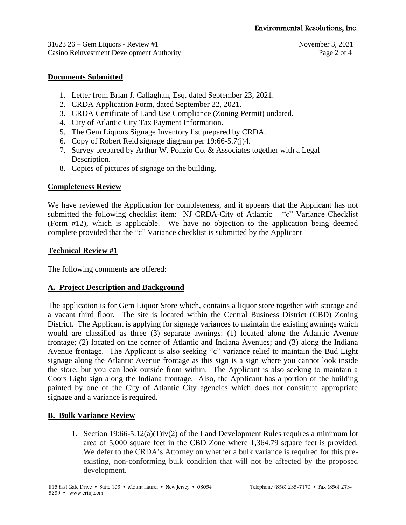31623 26 – Gem Liquors - Review #1 November 3, 2021 Casino Reinvestment Development Authority **Page 2** of 4

# **Documents Submitted**

- 1. Letter from Brian J. Callaghan, Esq. dated September 23, 2021.
- 2. CRDA Application Form, dated September 22, 2021.
- 3. CRDA Certificate of Land Use Compliance (Zoning Permit) undated.
- 4. City of Atlantic City Tax Payment Information.
- 5. The Gem Liquors Signage Inventory list prepared by CRDA.
- 6. Copy of Robert Reid signage diagram per 19:66-5.7(j)4.
- 7. Survey prepared by Arthur W. Ponzio Co. & Associates together with a Legal Description.
- 8. Copies of pictures of signage on the building.

## **Completeness Review**

We have reviewed the Application for completeness, and it appears that the Applicant has not submitted the following checklist item: NJ CRDA-City of Atlantic – "c" Variance Checklist (Form #12), which is applicable. We have no objection to the application being deemed complete provided that the "c" Variance checklist is submitted by the Applicant

## **Technical Review #1**

The following comments are offered:

# **A. Project Description and Background**

The application is for Gem Liquor Store which, contains a liquor store together with storage and a vacant third floor. The site is located within the Central Business District (CBD) Zoning District. The Applicant is applying for signage variances to maintain the existing awnings which would are classified as three (3) separate awnings: (1) located along the Atlantic Avenue frontage; (2) located on the corner of Atlantic and Indiana Avenues; and (3) along the Indiana Avenue frontage. The Applicant is also seeking "c" variance relief to maintain the Bud Light signage along the Atlantic Avenue frontage as this sign is a sign where you cannot look inside the store, but you can look outside from within. The Applicant is also seeking to maintain a Coors Light sign along the Indiana frontage. Also, the Applicant has a portion of the building painted by one of the City of Atlantic City agencies which does not constitute appropriate signage and a variance is required.

# **B. Bulk Variance Review**

1. Section 19:66-5.12(a)(1)iv(2) of the Land Development Rules requires a minimum lot area of 5,000 square feet in the CBD Zone where 1,364.79 square feet is provided. We defer to the CRDA's Attorney on whether a bulk variance is required for this preexisting, non-conforming bulk condition that will not be affected by the proposed development.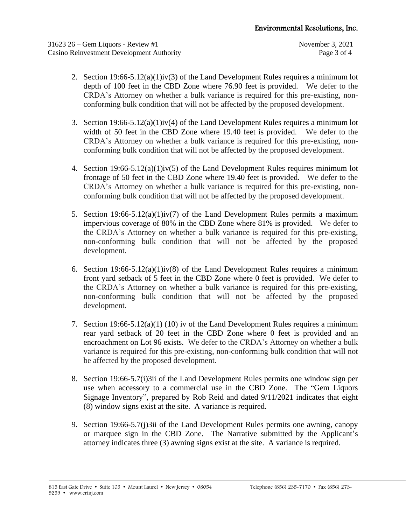- 2. Section  $19:66-5.12(a)(1)$ iv(3) of the Land Development Rules requires a minimum lot depth of 100 feet in the CBD Zone where 76.90 feet is provided. We defer to the CRDA's Attorney on whether a bulk variance is required for this pre-existing, nonconforming bulk condition that will not be affected by the proposed development.
- 3. Section 19:66-5.12(a)(1)iv(4) of the Land Development Rules requires a minimum lot width of 50 feet in the CBD Zone where 19.40 feet is provided. We defer to the CRDA's Attorney on whether a bulk variance is required for this pre-existing, nonconforming bulk condition that will not be affected by the proposed development.
- 4. Section  $19:66-5.12(a)(1)$  iv(5) of the Land Development Rules requires minimum lot frontage of 50 feet in the CBD Zone where 19.40 feet is provided. We defer to the CRDA's Attorney on whether a bulk variance is required for this pre-existing, nonconforming bulk condition that will not be affected by the proposed development.
- 5. Section  $19:66-5.12(a)(1)$ iv(7) of the Land Development Rules permits a maximum impervious coverage of 80% in the CBD Zone where 81% is provided. We defer to the CRDA's Attorney on whether a bulk variance is required for this pre-existing, non-conforming bulk condition that will not be affected by the proposed development.
- 6. Section  $19:66-5.12(a)(1)$ iv(8) of the Land Development Rules requires a minimum front yard setback of 5 feet in the CBD Zone where 0 feet is provided. We defer to the CRDA's Attorney on whether a bulk variance is required for this pre-existing, non-conforming bulk condition that will not be affected by the proposed development.
- 7. Section  $19:66-5.12(a)(1)$  (10) iv of the Land Development Rules requires a minimum rear yard setback of 20 feet in the CBD Zone where 0 feet is provided and an encroachment on Lot 96 exists. We defer to the CRDA's Attorney on whether a bulk variance is required for this pre-existing, non-conforming bulk condition that will not be affected by the proposed development.
- 8. Section 19:66-5.7(i)3ii of the Land Development Rules permits one window sign per use when accessory to a commercial use in the CBD Zone. The "Gem Liquors Signage Inventory", prepared by Rob Reid and dated 9/11/2021 indicates that eight (8) window signs exist at the site. A variance is required.
- 9. Section 19:66-5.7(j)3ii of the Land Development Rules permits one awning, canopy or marquee sign in the CBD Zone. The Narrative submitted by the Applicant's attorney indicates three (3) awning signs exist at the site. A variance is required.